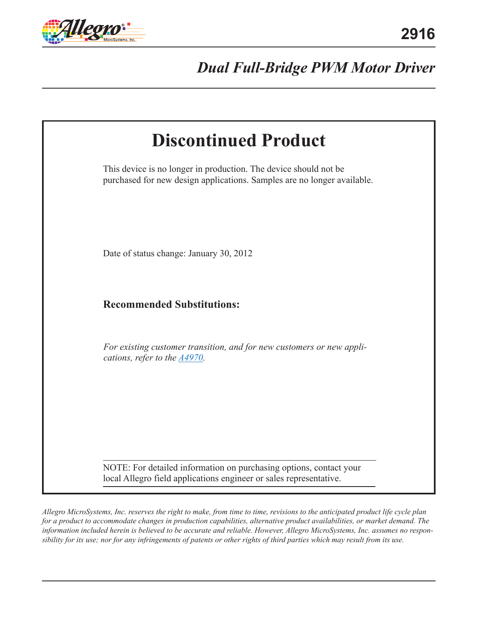

# *Dual Full-Bridge PWM Motor Driver*

| <b>Discontinued Product</b>                                                                                                                 |  |
|---------------------------------------------------------------------------------------------------------------------------------------------|--|
| This device is no longer in production. The device should not be<br>purchased for new design applications. Samples are no longer available. |  |
| Date of status change: January 30, 2012                                                                                                     |  |
| <b>Recommended Substitutions:</b>                                                                                                           |  |
| For existing customer transition, and for new customers or new appli-<br>cations, refer to the $\triangle$ 4970.                            |  |
| NOTE: For detailed information on purchasing options, contact your<br>local Allegro field applications engineer or sales representative.    |  |

*Allegro MicroSystems, Inc. reserves the right to make, from time to time, revisions to the anticipated product life cycle plan for a product to accommodate changes in production capabilities, alternative product availabilities, or market demand. The information included herein is believed to be accurate and reliable. However, Allegro MicroSystems, Inc. assumes no responsibility for its use; nor for any infringements of patents or other rights of third parties which may result from its use.*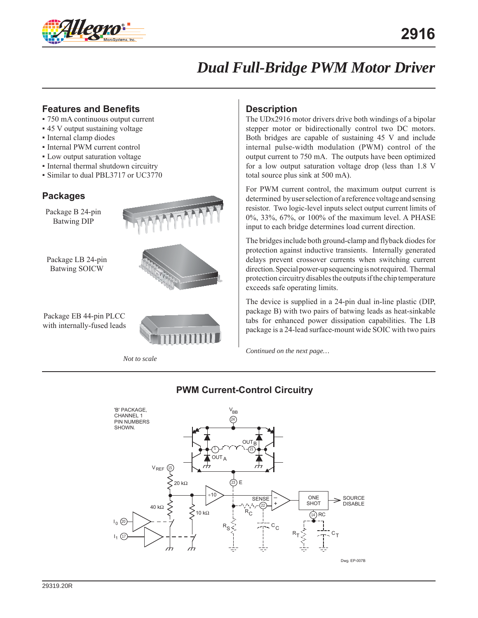

# *Dual Full-Bridge PWM Motor Driver*

# **Features and Benefits**

- 750 mA continuous output current
- 45 V output sustaining voltage
- Internal clamp diodes
- Internal PWM current control
- Low output saturation voltage
- Internal thermal shutdown circuitry
- Similar to dual PBL3717 or UC3770

## **Packages**

Package B 24-pin Batwing DIP

Package LB 24-pin Batwing SOICW



Package EB 44-pin PLCC with internally-fused leads

*Not to scale*

## **Description**

The UDx2916 motor drivers drive both windings of a bipolar stepper motor or bidirectionally control two DC motors. Both bridges are capable of sustaining 45 V and include internal pulse-width modulation (PWM) control of the output current to 750 mA. The outputs have been optimized for a low output saturation voltage drop (less than 1.8 V total source plus sink at 500 mA).

For PWM current control, the maximum output current is determined by user selection of a reference voltage and sensing resistor. Two logic-level inputs select output current limits of 0%, 33%, 67%, or 100% of the maximum level. A PHASE input to each bridge determines load current direction.

The bridges include both ground-clamp and flyback diodes for protection against inductive transients. Internally generated delays prevent crossover currents when switching current direction. Special power-up sequencing is not required. Thermal protection circuitry disables the outputs if the chip temperature exceeds safe operating limits.

The device is supplied in a 24-pin dual in-line plastic (DIP, package B) with two pairs of batwing leads as heat-sinkable tabs for enhanced power dissipation capabilities. The LB package is a 24-lead surface-mount wide SOIC with two pairs

*Continued on the next page…*



# **PWM Current-Control Circuitry**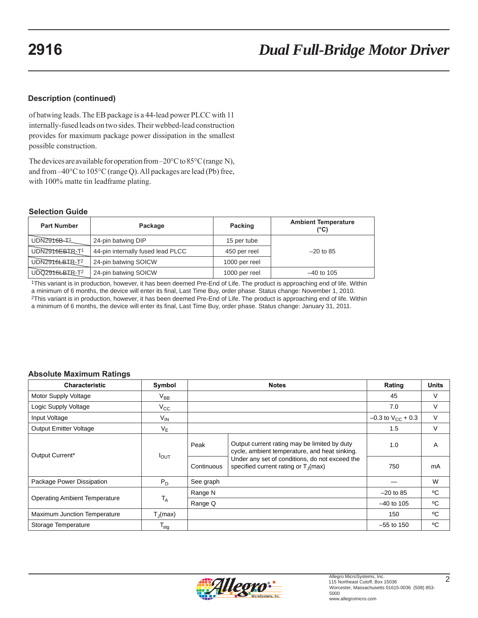### **Description (continued)**

of batwing leads. The EB package is a 44-lead power PLCC with 11 internally-fused leads on two sides. Their webbed-lead construction provides for maximum package power dissipation in the smallest possible construction.

The devices are available for operation from –20°C to 85°C (range N), and from –40°C to 105°C (range Q). All packages are lead (Pb) free, with 100% matte tin leadframe plating.

#### **Selection Guide**

| <b>Part Number</b> | Package                           | Packing       | <b>Ambient Temperature</b><br>(°C) |
|--------------------|-----------------------------------|---------------|------------------------------------|
| UDN2916B-T1        | 24-pin batwing DIP                | 15 per tube   |                                    |
| UDN2916EBIR-T1     | 44-pin internally fused lead PLCC | 450 per reel  | $-20$ to 85                        |
| UDN2916LBIR-T2     | 24-pin batwing SOICW              | 1000 per reel |                                    |
| UDQ2916LBIR-T2     | 24-pin batwing SOICW              | 1000 per reel | $-40$ to 105                       |

1This variant is in production, however, it has been deemed Pre-End of Life. The product is approaching end of life. Within a minimum of 6 months, the device will enter its final, Last Time Buy, order phase. Status change: November 1, 2010. 2This variant is in production, however, it has been deemed Pre-End of Life. The product is approaching end of life. Within a minimum of 6 months, the device will enter its final, Last Time Buy, order phase. Status change: January 31, 2011.

#### **Absolute Maximum Ratings**

| <b>Characteristic</b>                | Symbol                |            | <b>Notes</b>                                                                                                                                                                                        | Rating                   | <b>Units</b> |
|--------------------------------------|-----------------------|------------|-----------------------------------------------------------------------------------------------------------------------------------------------------------------------------------------------------|--------------------------|--------------|
| Motor Supply Voltage                 | $\rm V_{BB}$          |            |                                                                                                                                                                                                     | 45                       | V            |
| Logic Supply Voltage                 | $V_{\rm CC}$          |            |                                                                                                                                                                                                     | 7.0                      | $\vee$       |
| Input Voltage                        | $V_{IN}$              |            |                                                                                                                                                                                                     | $-0.3$ to $V_{CC}$ + 0.3 | V            |
| <b>Output Emitter Voltage</b>        | $V_F$                 |            |                                                                                                                                                                                                     | 1.5                      | $\vee$       |
| Output Current*                      | $I_{\text{OUT}}$      | Peak       | Output current rating may be limited by duty<br>cycle, ambient temperature, and heat sinking.<br>Under any set of conditions, do not exceed the<br>specified current rating or T <sub>1</sub> (max) | 1.0                      | A            |
|                                      |                       | Continuous |                                                                                                                                                                                                     | 750                      | mA           |
| Package Power Dissipation            | $P_D$                 | See graph  |                                                                                                                                                                                                     |                          | W            |
|                                      | $T_A$                 | Range N    |                                                                                                                                                                                                     | $-20$ to 85              | °C           |
| <b>Operating Ambient Temperature</b> |                       | Range Q    |                                                                                                                                                                                                     | $-40$ to 105             | °C           |
| Maximum Junction Temperature         | $T_{\parallel}$ (max) |            |                                                                                                                                                                                                     | 150                      | °C           |
| Storage Temperature                  | $\mathsf{T_{stg}}$    |            |                                                                                                                                                                                                     | $-55$ to 150             | °C           |

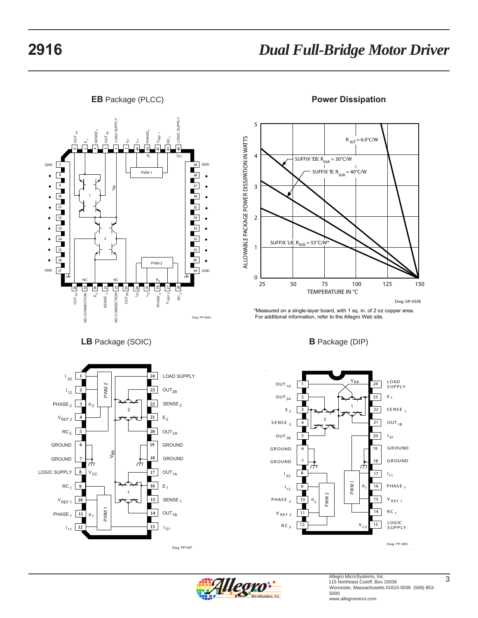



**LB** Package (SOIC)



Dwg. PP-047





\*Measured on a single-layer board, with 1 sq. in. of 2 oz copper area. For additional information, refer to the Allegro Web site.

### **B** Package (DIP)



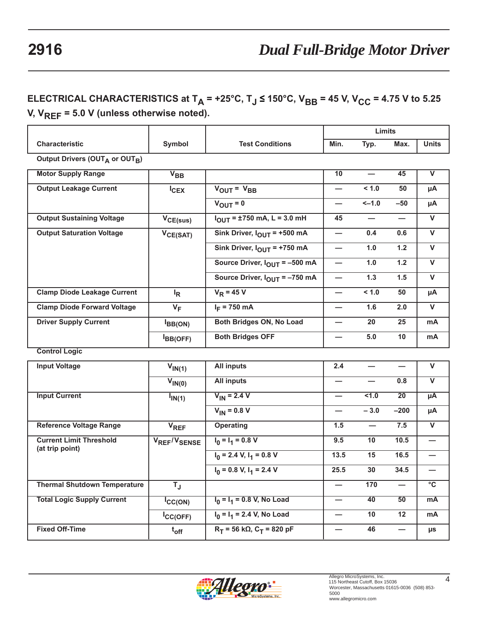# **ELECTRICAL CHARACTERISTICS at T<sub>A</sub> = +25°C, T<sub>J</sub> ≤ 150°C, V<sub>BB</sub> = 45 V, V<sub>CC</sub> = 4.75 V to 5.25 V, VREF = 5.0 V (unless otherwise noted).**

|                                     |                          |                                                           |                          | Limits          |                 |                         |
|-------------------------------------|--------------------------|-----------------------------------------------------------|--------------------------|-----------------|-----------------|-------------------------|
| Characteristic                      | Symbol                   | <b>Test Conditions</b>                                    | Min.                     | Typ.            | Max.            | <b>Units</b>            |
| Output Drivers (OUTA or OUTB)       |                          |                                                           |                          |                 |                 |                         |
| <b>Motor Supply Range</b>           | $V_{BB}$                 |                                                           | 10                       |                 | 45              | $\overline{\mathsf{v}}$ |
| <b>Output Leakage Current</b>       | $I_{CEX}$                | $V_{OUT} = V_{BB}$                                        | $\overline{\phantom{0}}$ | < 1.0           | 50              | μA                      |
|                                     |                          | $V_{\text{OUT}} = 0$                                      |                          | $-1.0$          | $-50$           | μA                      |
| <b>Output Sustaining Voltage</b>    | $V_{CE(sus)}$            | $I_{\text{OUT}} = \pm 750 \text{ mA}, L = 3.0 \text{ mH}$ | 45                       |                 |                 | $\overline{\mathsf{v}}$ |
| <b>Output Saturation Voltage</b>    | $V_{CE(SAT)}$            | Sink Driver, $I_{OUT}$ = +500 mA                          |                          | 0.4             | 0.6             | $\mathsf{V}$            |
|                                     |                          | Sink Driver, $I_{OUT}$ = +750 mA                          | $\overline{\phantom{0}}$ | 1.0             | $1.2$           | $\mathsf{V}$            |
|                                     |                          | Source Driver, $I_{\text{OUT}}$ = -500 mA                 | $\overline{\phantom{0}}$ | 1.0             | 1.2             | $\overline{\mathsf{v}}$ |
|                                     |                          | Source Driver, IOUT = -750 mA                             | $\overline{\phantom{0}}$ | 1.3             | 1.5             | $\mathsf{V}$            |
| <b>Clamp Diode Leakage Current</b>  | $I_R$                    | $V_R$ = 45 V                                              | $\overline{\phantom{0}}$ | < 1.0           | 50              | μA                      |
| <b>Clamp Diode Forward Voltage</b>  | $V_F$                    | $I_F$ = 750 mA                                            |                          | 1.6             | 2.0             | $\overline{\mathsf{v}}$ |
| <b>Driver Supply Current</b>        | $I_{BB(ON)}$             | Both Bridges ON, No Load                                  |                          | 20              | 25              | mA                      |
|                                     | BB(OFF)                  | <b>Both Bridges OFF</b>                                   |                          | 5.0             | 10              | mA                      |
| <b>Control Logic</b>                |                          |                                                           |                          |                 |                 |                         |
| <b>Input Voltage</b>                | $V_{IN(1)}$              | <b>All inputs</b>                                         | 2.4                      |                 |                 | $\mathsf{V}$            |
|                                     | $V_{IN(0)}$              | <b>All inputs</b>                                         |                          |                 | 0.8             | $\mathbf{V}$            |
| <b>Input Current</b>                | $I_{IN(1)}$              | $V_{IN}$ = 2.4 V                                          |                          | $5 - 1.0$       | $\overline{20}$ | $\overline{\mu A}$      |
|                                     |                          | $V_{IN} = 0.8 V$                                          |                          | $-3.0$          | $-200$          | μA                      |
| <b>Reference Voltage Range</b>      | <b>V<sub>REF</sub></b>   | Operating                                                 | 1.5                      |                 | 7.5             | $\mathsf{V}$            |
| <b>Current Limit Threshold</b>      | VREF <sup>/V</sup> SENSE | $I_0 = I_1 = 0.8 V$                                       | 9.5                      | 10              | 10.5            |                         |
| (at trip point)                     |                          | $I_0$ = 2.4 V, $I_1$ = 0.8 V                              | 13.5                     | 15              | 16.5            |                         |
|                                     |                          | $I_0$ = 0.8 V, $I_1$ = 2.4 V                              | 25.5                     | 30              | 34.5            |                         |
| <b>Thermal Shutdown Temperature</b> | $T_{\rm J}$              |                                                           |                          | $\frac{1}{170}$ |                 | $\overline{\text{c}}$   |
| <b>Total Logic Supply Current</b>   | ICC(ON)                  | $I_0 = I_1 = 0.8$ V, No Load                              |                          | $\overline{40}$ | $\overline{50}$ | mA                      |
|                                     | $lc_{\mathsf{C(OFF)}}$   | $I_0 = I_1 = 2.4$ V, No Load                              | —                        | 10              | 12              | mA                      |
| <b>Fixed Off-Time</b>               | $t_{off}$                | $R_T$ = 56 kΩ, C <sub>T</sub> = 820 pF                    |                          | 46              | —               | $\mu s$                 |

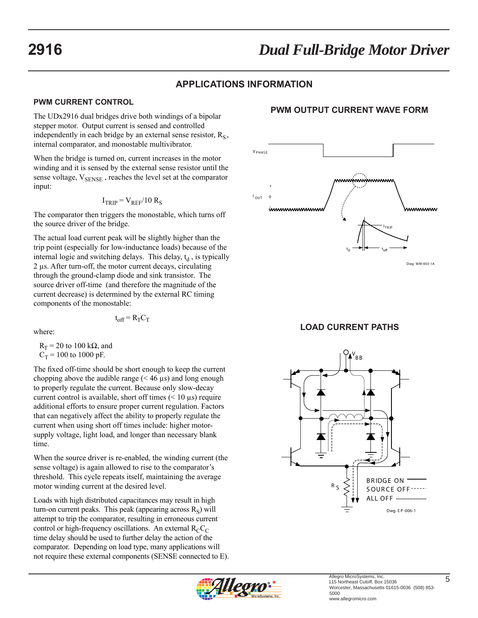# **2916** *Dual Full-Bridge Motor Driver*

# **APPLICATIONS INFORMATION**

#### **PWM CURRENT CONTROL**

The UDx2916 dual bridges drive both windings of a bipolar stepper motor. Output current is sensed and controlled independently in each bridge by an external sense resistor,  $R_s$ , internal comparator, and monostable multivibrator.

When the bridge is turned on, current increases in the motor winding and it is sensed by the external sense resistor until the sense voltage,  $V_{\text{SENSE}}$ , reaches the level set at the comparator input:

$$
I_{TRIP} = V_{REF}/10 R_S
$$

The comparator then triggers the monostable, which turns off the source driver of the bridge.

The actual load current peak will be slightly higher than the trip point (especially for low-inductance loads) because of the internal logic and switching delays. This delay,  $t_d$ , is typically 2 μs. After turn-off, the motor current decays, circulating through the ground-clamp diode and sink transistor. The source driver off-time (and therefore the magnitude of the current decrease) is determined by the external RC timing components of the monostable:

$$
t_{off} = R_T C_T
$$

where:

 $R_T$  = 20 to 100 kΩ, and  $C_T$  = 100 to 1000 pF.

The fixed off-time should be short enough to keep the current chopping above the audible range  $(< 46 \mu s$ ) and long enough to properly regulate the current. Because only slow-decay current control is available, short off times  $(< 10 \,\mu s$ ) require additional efforts to ensure proper current regulation. Factors that can negatively affect the ability to properly regulate the current when using short off times include: higher motorsupply voltage, light load, and longer than necessary blank time.

When the source driver is re-enabled, the winding current (the sense voltage) is again allowed to rise to the comparator's threshold. This cycle repeats itself, maintaining the average motor winding current at the desired level.

Loads with high distributed capacitances may result in high turn-on current peaks. This peak (appearing across  $R<sub>S</sub>$ ) will attempt to trip the comparator, resulting in erroneous current control or high-frequency oscillations. An external  $R<sub>C</sub>C<sub>C</sub>$ time delay should be used to further delay the action of the comparator. Depending on load type, many applications will not require these external components (SENSE connected to E).

# **PWM OUTPUT CURRENT WAVE FORM**



**LOAD CURRENT PATHS**



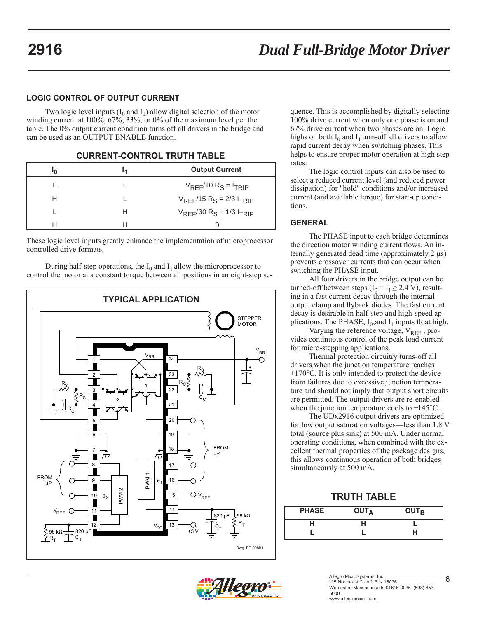#### **LOGIC CONTROL OF OUTPUT CURRENT**

Two logic level inputs  $(I_0 \text{ and } I_1)$  allow digital selection of the motor winding current at 100%, 67%, 33%, or 0% of the maximum level per the table. The 0% output current condition turns off all drivers in the bridge and can be used as an OUTPUT ENABLE function.

| חי | м | <b>Output Current</b>           |
|----|---|---------------------------------|
|    |   | $V_{RFF}/10 R_S = I_{TRIP}$     |
| Н  |   | $V_{REF}/15 R_S = 2/3 I_{TRIP}$ |
|    | н | $V_{RFF}/30 R_S = 1/3 I_{TRIP}$ |
|    |   |                                 |

**CURRENT-CONTROL TRUTH TABLE**

These logic level inputs greatly enhance the implementation of microprocessor controlled drive formats.

During half-step operations, the  $I_0$  and  $I_1$  allow the microprocessor to control the motor at a constant torque between all positions in an eight-step se-



quence. This is accomplished by digitally selecting 100% drive current when only one phase is on and 67% drive current when two phases are on. Logic highs on both  $I_0$  and  $I_1$  turn-off all drivers to allow rapid current decay when switching phases. This helps to ensure proper motor operation at high step rates.

The logic control inputs can also be used to select a reduced current level (and reduced power dissipation) for "hold" conditions and/or increased current (and available torque) for start-up conditions.

#### **GENERAL**

The PHASE input to each bridge determines the direction motor winding current flows. An internally generated dead time (approximately 2 μs) prevents crossover currents that can occur when switching the PHASE input.

All four drivers in the bridge output can be turned-off between steps  $(I_0 = I_1 \geq 2.4 \text{ V})$ , resulting in a fast current decay through the internal output clamp and flyback diodes. The fast current decay is desirable in half-step and high-speed applications. The PHASE,  $I_0$ , and  $I_1$  inputs float high.

Varying the reference voltage, V<sub>REF</sub>, provides continuous control of the peak load current for micro-stepping applications.

Thermal protection circuitry turns-off all drivers when the junction temperature reaches +170°C. It is only intended to protect the device from failures due to excessive junction temperature and should not imply that output short circuits are permitted. The output drivers are re-enabled when the junction temperature cools to +145°C.

The UDx2916 output drivers are optimized for low output saturation voltages—less than 1.8 V total (source plus sink) at 500 mA. Under normal operating conditions, when combined with the excellent thermal properties of the package designs, this allows continuous operation of both bridges simultaneously at 500 mA.

### **TRUTH TABLE**

| <b>PHASE</b> | <b>OUTA</b> | <b>OUTR</b> |
|--------------|-------------|-------------|
|              |             |             |
|              |             | Н           |

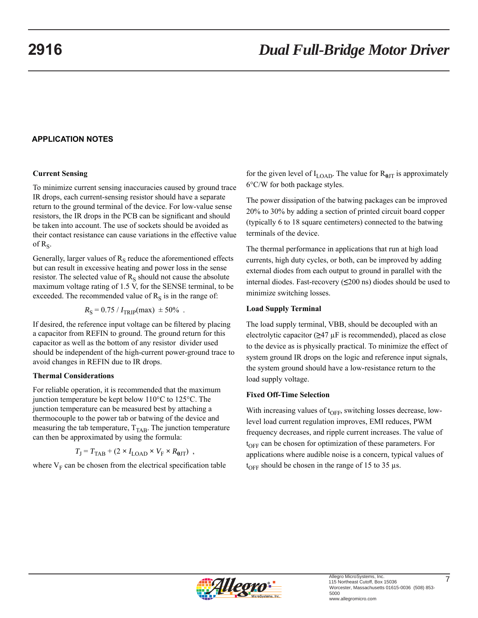#### **APPLICATION NOTES**

#### **Current Sensing**

To minimize current sensing inaccuracies caused by ground trace IR drops, each current-sensing resistor should have a separate return to the ground terminal of the device. For low-value sense resistors, the IR drops in the PCB can be significant and should be taken into account. The use of sockets should be avoided as their contact resistance can cause variations in the effective value of  $R_S$ .

Generally, larger values of  $R<sub>S</sub>$  reduce the aforementioned effects but can result in excessive heating and power loss in the sense resistor. The selected value of  $R<sub>S</sub>$  should not cause the absolute maximum voltage rating of 1.5 V, for the SENSE terminal, to be exceeded. The recommended value of  $R<sub>S</sub>$  is in the range of:

$$
R_{\rm S} = 0.75 / I_{\rm TRIP}(\text{max}) \pm 50\%
$$
.

If desired, the reference input voltage can be filtered by placing a capacitor from REFIN to ground. The ground return for this capacitor as well as the bottom of any resistor divider used should be independent of the high-current power-ground trace to avoid changes in REFIN due to IR drops.

#### **Thermal Considerations**

For reliable operation, it is recommended that the maximum junction temperature be kept below 110°C to 125°C. The junction temperature can be measured best by attaching a thermocouple to the power tab or batwing of the device and measuring the tab temperature,  $T<sub>TAB</sub>$ . The junction temperature can then be approximated by using the formula:

$$
T_{\rm J} = T_{\rm TAB} + (2 \times I_{\rm LOAD} \times V_{\rm F} \times R_{\rm \theta JT}) \ ,
$$

where  $V_F$  can be chosen from the electrical specification table

for the given level of  $I_{\text{LOAD}}$ . The value for  $R_{\theta\text{JT}}$  is approximately 6°C/W for both package styles.

The power dissipation of the batwing packages can be improved 20% to 30% by adding a section of printed circuit board copper (typically 6 to 18 square centimeters) connected to the batwing terminals of the device.

The thermal performance in applications that run at high load currents, high duty cycles, or both, can be improved by adding external diodes from each output to ground in parallel with the internal diodes. Fast-recovery (**≤**200 ns) diodes should be used to minimize switching losses.

#### **Load Supply Terminal**

The load supply terminal, VBB, should be decoupled with an electrolytic capacitor (**≥**47 μF is recommended), placed as close to the device as is physically practical. To minimize the effect of system ground IR drops on the logic and reference input signals, the system ground should have a low-resistance return to the load supply voltage.

#### **Fixed Off-Time Selection**

With increasing values of  $t_{\text{OFF}}$ , switching losses decrease, lowlevel load current regulation improves, EMI reduces, PWM frequency decreases, and ripple current increases. The value of  $t_{\text{OFF}}$  can be chosen for optimization of these parameters. For applications where audible noise is a concern, typical values of  $t_{OFF}$  should be chosen in the range of 15 to 35 μs.

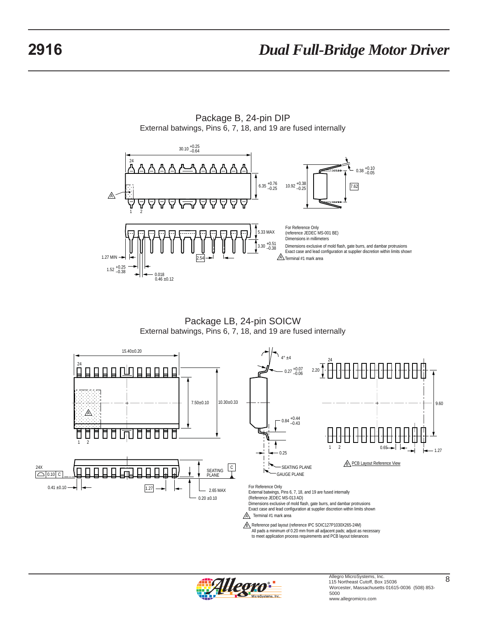

Package B, 24-pin DIP External batwings, Pins 6, 7, 18, and 19 are fused internally

Package LB, 24-pin SOICW External batwings, Pins 6, 7, 18, and 19 are fused internally